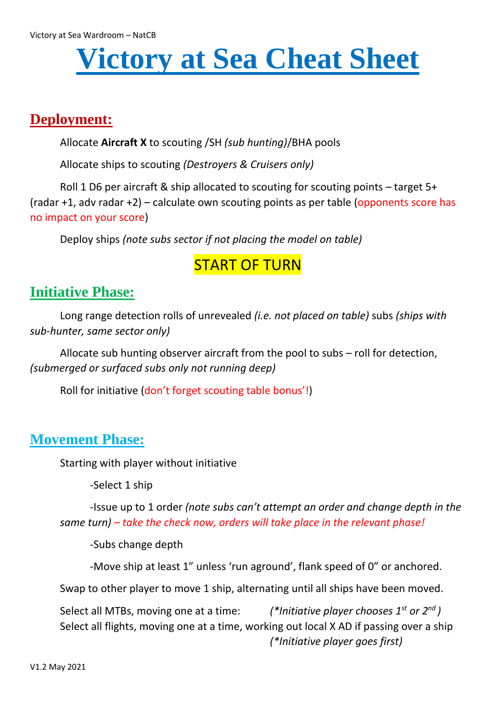# **Victory at Sea Cheat Sheet**

# **Deployment:**

Allocate **Aircraft X** to scouting /SH *(sub hunting)*/BHA pools

Allocate ships to scouting *(Destroyers & Cruisers only)*

Roll 1 D6 per aircraft & ship allocated to scouting for scouting points – target 5+ (radar  $+1$ , adv radar  $+2$ ) – calculate own scouting points as per table (opponents score has no impact on your score)

Deploy ships *(note subs sector if not placing the model on table)*

# START OF TURN

# **Initiative Phase:**

Long range detection rolls of unrevealed *(i.e. not placed on table)* subs *(ships with sub-hunter, same sector only)*

Allocate sub hunting observer aircraft from the pool to subs – roll for detection, *(submerged or surfaced subs only not running deep)*

Roll for initiative (don't forget scouting table bonus'!)

# **Movement Phase:**

Starting with player without initiative

-Select 1 ship

-Issue up to 1 order *(note subs can't attempt an order and change depth in the same turn) – take the check now, orders will take place in the relevant phase!*

-Subs change depth

-Move ship at least 1" unless 'run aground', flank speed of 0" or anchored.

Swap to other player to move 1 ship, alternating until all ships have been moved.

Select all MTBs, moving one at a time: *(\*Initiative player chooses*  $1^{st}$  *or*  $2^{nd}$ *)* Select all flights, moving one at a time, working out local X AD if passing over a ship *(\*Initiative player goes first)*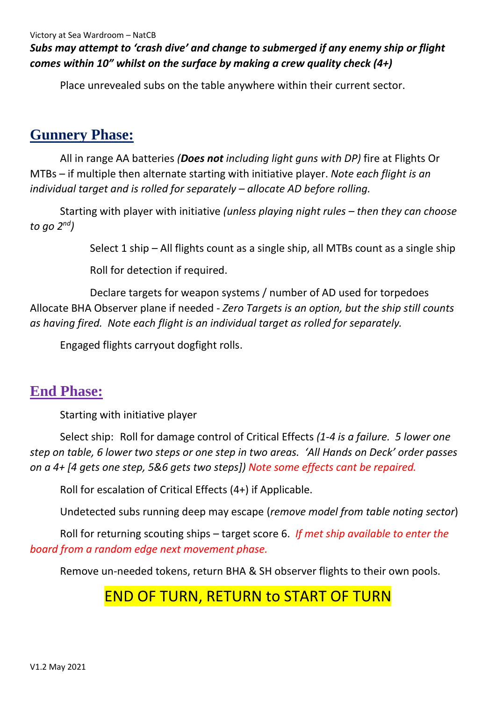Victory at Sea Wardroom – NatCB *Subs may attempt to 'crash dive' and change to submerged if any enemy ship or flight comes within 10" whilst on the surface by making a crew quality check (4+)*

Place unrevealed subs on the table anywhere within their current sector.

# **Gunnery Phase:**

All in range AA batteries *(Does not including light guns with DP)* fire at Flights Or MTBs – if multiple then alternate starting with initiative player. *Note each flight is an individual target and is rolled for separately – allocate AD before rolling.*

Starting with player with initiative *(unless playing night rules – then they can choose to go 2nd)*

Select 1 ship – All flights count as a single ship, all MTBs count as a single ship

Roll for detection if required.

Declare targets for weapon systems / number of AD used for torpedoes Allocate BHA Observer plane if needed - *Zero Targets is an option, but the ship still counts as having fired. Note each flight is an individual target as rolled for separately.*

Engaged flights carryout dogfight rolls.

## **End Phase:**

Starting with initiative player

Select ship: Roll for damage control of Critical Effects *(1-4 is a failure. 5 lower one step on table, 6 lower two steps or one step in two areas. 'All Hands on Deck' order passes on a 4+ [4 gets one step, 5&6 gets two steps]) Note some effects cant be repaired.*

Roll for escalation of Critical Effects (4+) if Applicable.

Undetected subs running deep may escape (*remove model from table noting sector*)

Roll for returning scouting ships – target score 6. *If met ship available to enter the board from a random edge next movement phase.*

Remove un-needed tokens, return BHA & SH observer flights to their own pools.

# END OF TURN, RETURN to START OF TURN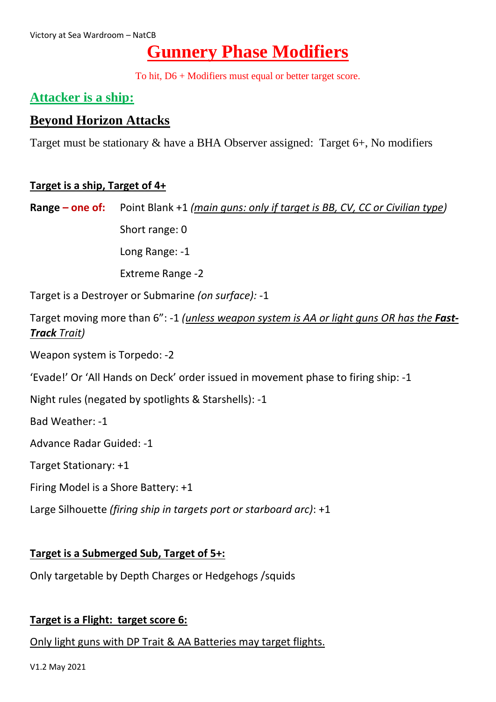# **Gunnery Phase Modifiers**

To hit, D6 + Modifiers must equal or better target score.

## **Attacker is a ship:**

## **Beyond Horizon Attacks**

Target must be stationary & have a BHA Observer assigned: Target 6+, No modifiers

#### **Target is a ship, Target of 4+**

**Range – one of:** Point Blank +1 *(main guns: only if target is BB, CV, CC or Civilian type)*

Short range: 0

Long Range: -1

Extreme Range -2

Target is a Destroyer or Submarine *(on surface):* -1

Target moving more than 6": -1 *(unless weapon system is AA or light guns OR has the Fast-Track Trait)*

Weapon system is Torpedo: -2

'Evade!' Or 'All Hands on Deck' order issued in movement phase to firing ship: -1

Night rules (negated by spotlights & Starshells): -1

Bad Weather: -1

Advance Radar Guided: -1

Target Stationary: +1

Firing Model is a Shore Battery: +1

Large Silhouette *(firing ship in targets port or starboard arc)*: +1

## **Target is a Submerged Sub, Target of 5+:**

Only targetable by Depth Charges or Hedgehogs /squids

#### **Target is a Flight: target score 6:**

Only light guns with DP Trait & AA Batteries may target flights.

V1.2 May 2021